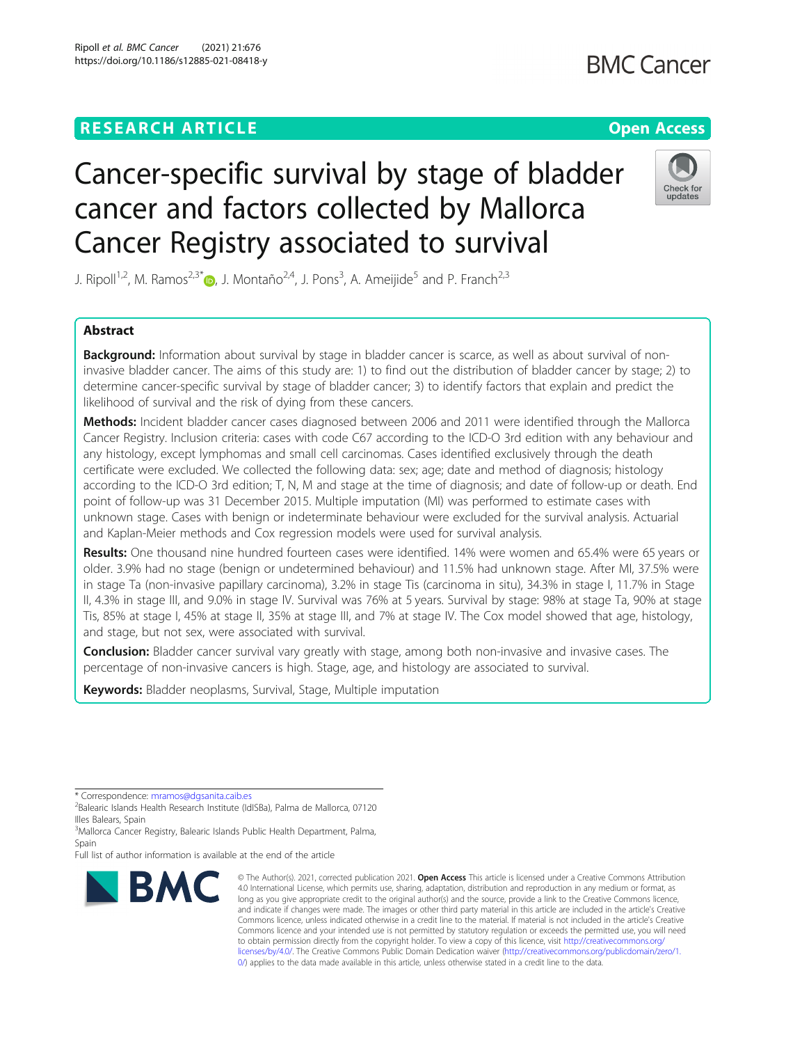## **RESEARCH ARTICLE Example 2014 12:30 The Contract of Contract ACCESS**

# Cancer-specific survival by stage of bladder cancer and factors collected by Mallorca

Check for undate

J. Ripoll<sup>1,2</sup>, M. Ramos<sup>2,3[\\*](http://orcid.org/0000-0002-0903-5264)</sup>®, J. Montaño<sup>2,4</sup>, J. Pons<sup>3</sup>, A. Ameijide<sup>5</sup> and P. Franch<sup>2,3</sup>

Cancer Registry associated to survival

## Abstract

Background: Information about survival by stage in bladder cancer is scarce, as well as about survival of noninvasive bladder cancer. The aims of this study are: 1) to find out the distribution of bladder cancer by stage; 2) to determine cancer-specific survival by stage of bladder cancer; 3) to identify factors that explain and predict the likelihood of survival and the risk of dying from these cancers.

Methods: Incident bladder cancer cases diagnosed between 2006 and 2011 were identified through the Mallorca Cancer Registry. Inclusion criteria: cases with code C67 according to the ICD-O 3rd edition with any behaviour and any histology, except lymphomas and small cell carcinomas. Cases identified exclusively through the death certificate were excluded. We collected the following data: sex; age; date and method of diagnosis; histology according to the ICD-O 3rd edition; T, N, M and stage at the time of diagnosis; and date of follow-up or death. End point of follow-up was 31 December 2015. Multiple imputation (MI) was performed to estimate cases with unknown stage. Cases with benign or indeterminate behaviour were excluded for the survival analysis. Actuarial and Kaplan-Meier methods and Cox regression models were used for survival analysis.

Results: One thousand nine hundred fourteen cases were identified. 14% were women and 65.4% were 65 years or older. 3.9% had no stage (benign or undetermined behaviour) and 11.5% had unknown stage. After MI, 37.5% were in stage Ta (non-invasive papillary carcinoma), 3.2% in stage Tis (carcinoma in situ), 34.3% in stage I, 11.7% in Stage II, 4.3% in stage III, and 9.0% in stage IV. Survival was 76% at 5 years. Survival by stage: 98% at stage Ta, 90% at stage Tis, 85% at stage I, 45% at stage II, 35% at stage III, and 7% at stage IV. The Cox model showed that age, histology, and stage, but not sex, were associated with survival.

Conclusion: Bladder cancer survival vary greatly with stage, among both non-invasive and invasive cases. The percentage of non-invasive cancers is high. Stage, age, and histology are associated to survival.

Keywords: Bladder neoplasms, Survival, Stage, Multiple imputation

\* Correspondence: [mramos@dgsanita.caib.es](mailto:mramos@dgsanita.caib.es) <sup>2</sup>

<sup>2</sup>Balearic Islands Health Research Institute (IdISBa), Palma de Mallorca, 07120 Illes Balears, Spain

<sup>3</sup>Mallorca Cancer Registry, Balearic Islands Public Health Department, Palma, Spain

Full list of author information is available at the end of the article



© The Author(s). 2021, corrected publication 2021. Open Access This article is licensed under a Creative Commons Attribution 4.0 International License, which permits use, sharing, adaptation, distribution and reproduction in any medium or format, as long as you give appropriate credit to the original author(s) and the source, provide a link to the Creative Commons licence, and indicate if changes were made. The images or other third party material in this article are included in the article's Creative Commons licence, unless indicated otherwise in a credit line to the material. If material is not included in the article's Creative Commons licence and your intended use is not permitted by statutory regulation or exceeds the permitted use, you will need to obtain permission directly from the copyright holder. To view a copy of this licence, visit [http://creativecommons.org/](http://creativecommons.org/licenses/by/4.0/) [licenses/by/4.0/.](http://creativecommons.org/licenses/by/4.0/) The Creative Commons Public Domain Dedication waiver ([http://creativecommons.org/publicdomain/zero/1.](http://creativecommons.org/publicdomain/zero/1.0/) [0/\)](http://creativecommons.org/publicdomain/zero/1.0/) applies to the data made available in this article, unless otherwise stated in a credit line to the data.

**BMC Cancer**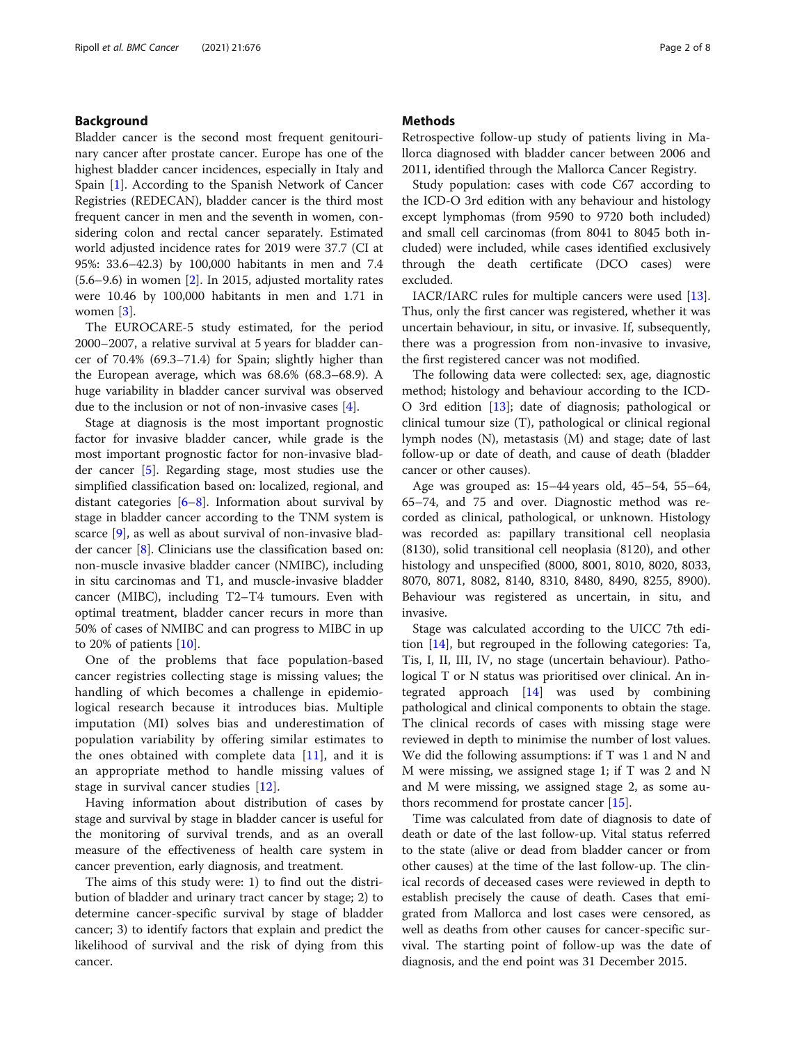#### Background

Bladder cancer is the second most frequent genitourinary cancer after prostate cancer. Europe has one of the highest bladder cancer incidences, especially in Italy and Spain [\[1](#page-7-0)]. According to the Spanish Network of Cancer Registries (REDECAN), bladder cancer is the third most frequent cancer in men and the seventh in women, considering colon and rectal cancer separately. Estimated world adjusted incidence rates for 2019 were 37.7 (CI at 95%: 33.6–42.3) by 100,000 habitants in men and 7.4  $(5.6-9.6)$  in women  $[2]$  $[2]$ . In 2015, adjusted mortality rates were 10.46 by 100,000 habitants in men and 1.71 in women [[3\]](#page-7-0).

The EUROCARE-5 study estimated, for the period 2000–2007, a relative survival at 5 years for bladder cancer of 70.4% (69.3–71.4) for Spain; slightly higher than the European average, which was 68.6% (68.3–68.9). A huge variability in bladder cancer survival was observed due to the inclusion or not of non-invasive cases [\[4](#page-7-0)].

Stage at diagnosis is the most important prognostic factor for invasive bladder cancer, while grade is the most important prognostic factor for non-invasive bladder cancer [\[5](#page-7-0)]. Regarding stage, most studies use the simplified classification based on: localized, regional, and distant categories  $[6-8]$  $[6-8]$  $[6-8]$  $[6-8]$  $[6-8]$ . Information about survival by stage in bladder cancer according to the TNM system is scarce [[9\]](#page-7-0), as well as about survival of non-invasive bladder cancer [\[8](#page-7-0)]. Clinicians use the classification based on: non-muscle invasive bladder cancer (NMIBC), including in situ carcinomas and T1, and muscle-invasive bladder cancer (MIBC), including T2–T4 tumours. Even with optimal treatment, bladder cancer recurs in more than 50% of cases of NMIBC and can progress to MIBC in up to 20% of patients [[10](#page-7-0)].

One of the problems that face population-based cancer registries collecting stage is missing values; the handling of which becomes a challenge in epidemiological research because it introduces bias. Multiple imputation (MI) solves bias and underestimation of population variability by offering similar estimates to the ones obtained with complete data  $[11]$  $[11]$ , and it is an appropriate method to handle missing values of stage in survival cancer studies [[12\]](#page-7-0).

Having information about distribution of cases by stage and survival by stage in bladder cancer is useful for the monitoring of survival trends, and as an overall measure of the effectiveness of health care system in cancer prevention, early diagnosis, and treatment.

The aims of this study were: 1) to find out the distribution of bladder and urinary tract cancer by stage; 2) to determine cancer-specific survival by stage of bladder cancer; 3) to identify factors that explain and predict the likelihood of survival and the risk of dying from this cancer.

#### **Methods**

Retrospective follow-up study of patients living in Mallorca diagnosed with bladder cancer between 2006 and 2011, identified through the Mallorca Cancer Registry.

Study population: cases with code C67 according to the ICD-O 3rd edition with any behaviour and histology except lymphomas (from 9590 to 9720 both included) and small cell carcinomas (from 8041 to 8045 both included) were included, while cases identified exclusively through the death certificate (DCO cases) were excluded.

IACR/IARC rules for multiple cancers were used [\[13](#page-7-0)]. Thus, only the first cancer was registered, whether it was uncertain behaviour, in situ, or invasive. If, subsequently, there was a progression from non-invasive to invasive, the first registered cancer was not modified.

The following data were collected: sex, age, diagnostic method; histology and behaviour according to the ICD-O 3rd edition [[13\]](#page-7-0); date of diagnosis; pathological or clinical tumour size (T), pathological or clinical regional lymph nodes (N), metastasis (M) and stage; date of last follow-up or date of death, and cause of death (bladder cancer or other causes).

Age was grouped as: 15–44 years old, 45–54, 55–64, 65–74, and 75 and over. Diagnostic method was recorded as clinical, pathological, or unknown. Histology was recorded as: papillary transitional cell neoplasia (8130), solid transitional cell neoplasia (8120), and other histology and unspecified (8000, 8001, 8010, 8020, 8033, 8070, 8071, 8082, 8140, 8310, 8480, 8490, 8255, 8900). Behaviour was registered as uncertain, in situ, and invasive.

Stage was calculated according to the UICC 7th edition [[14\]](#page-7-0), but regrouped in the following categories: Ta, Tis, I, II, III, IV, no stage (uncertain behaviour). Pathological T or N status was prioritised over clinical. An integrated approach [[14\]](#page-7-0) was used by combining pathological and clinical components to obtain the stage. The clinical records of cases with missing stage were reviewed in depth to minimise the number of lost values. We did the following assumptions: if T was 1 and N and M were missing, we assigned stage 1; if T was 2 and N and M were missing, we assigned stage 2, as some authors recommend for prostate cancer [[15\]](#page-7-0).

Time was calculated from date of diagnosis to date of death or date of the last follow-up. Vital status referred to the state (alive or dead from bladder cancer or from other causes) at the time of the last follow-up. The clinical records of deceased cases were reviewed in depth to establish precisely the cause of death. Cases that emigrated from Mallorca and lost cases were censored, as well as deaths from other causes for cancer-specific survival. The starting point of follow-up was the date of diagnosis, and the end point was 31 December 2015.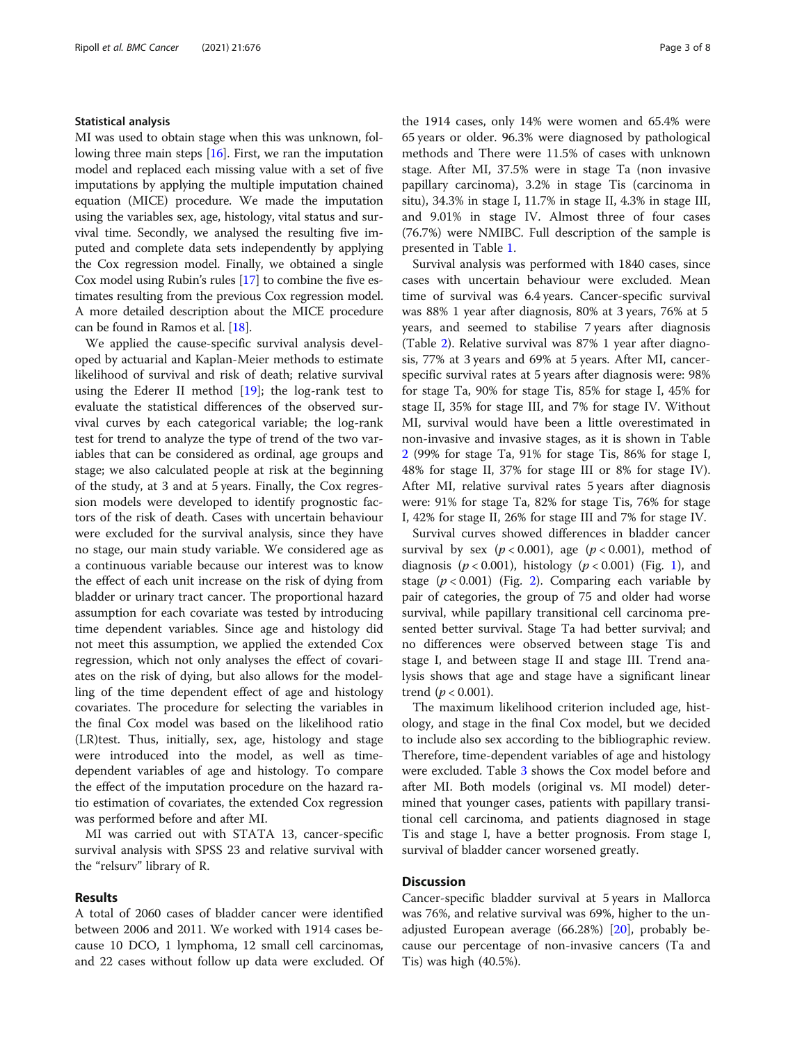#### Statistical analysis

MI was used to obtain stage when this was unknown, following three main steps [\[16\]](#page-7-0). First, we ran the imputation model and replaced each missing value with a set of five imputations by applying the multiple imputation chained equation (MICE) procedure. We made the imputation using the variables sex, age, histology, vital status and survival time. Secondly, we analysed the resulting five imputed and complete data sets independently by applying the Cox regression model. Finally, we obtained a single Cox model using Rubin's rules [\[17\]](#page-7-0) to combine the five estimates resulting from the previous Cox regression model. A more detailed description about the MICE procedure can be found in Ramos et al. [\[18\]](#page-7-0).

We applied the cause-specific survival analysis developed by actuarial and Kaplan-Meier methods to estimate likelihood of survival and risk of death; relative survival using the Ederer II method [[19\]](#page-7-0); the log-rank test to evaluate the statistical differences of the observed survival curves by each categorical variable; the log-rank test for trend to analyze the type of trend of the two variables that can be considered as ordinal, age groups and stage; we also calculated people at risk at the beginning of the study, at 3 and at 5 years. Finally, the Cox regression models were developed to identify prognostic factors of the risk of death. Cases with uncertain behaviour were excluded for the survival analysis, since they have no stage, our main study variable. We considered age as a continuous variable because our interest was to know the effect of each unit increase on the risk of dying from bladder or urinary tract cancer. The proportional hazard assumption for each covariate was tested by introducing time dependent variables. Since age and histology did not meet this assumption, we applied the extended Cox regression, which not only analyses the effect of covariates on the risk of dying, but also allows for the modelling of the time dependent effect of age and histology covariates. The procedure for selecting the variables in the final Cox model was based on the likelihood ratio (LR)test. Thus, initially, sex, age, histology and stage were introduced into the model, as well as timedependent variables of age and histology. To compare the effect of the imputation procedure on the hazard ratio estimation of covariates, the extended Cox regression was performed before and after MI.

MI was carried out with STATA 13, cancer-specific survival analysis with SPSS 23 and relative survival with the "relsurv" library of R.

### Results

A total of 2060 cases of bladder cancer were identified between 2006 and 2011. We worked with 1914 cases because 10 DCO, 1 lymphoma, 12 small cell carcinomas, and 22 cases without follow up data were excluded. Of the 1914 cases, only 14% were women and 65.4% were 65 years or older. 96.3% were diagnosed by pathological methods and There were 11.5% of cases with unknown stage. After MI, 37.5% were in stage Ta (non invasive papillary carcinoma), 3.2% in stage Tis (carcinoma in situ), 34.3% in stage I, 11.7% in stage II, 4.3% in stage III, and 9.01% in stage IV. Almost three of four cases (76.7%) were NMIBC. Full description of the sample is presented in Table [1](#page-3-0).

Survival analysis was performed with 1840 cases, since cases with uncertain behaviour were excluded. Mean time of survival was 6.4 years. Cancer-specific survival was 88% 1 year after diagnosis, 80% at 3 years, 76% at 5 years, and seemed to stabilise 7 years after diagnosis (Table [2](#page-4-0)). Relative survival was 87% 1 year after diagnosis, 77% at 3 years and 69% at 5 years. After MI, cancerspecific survival rates at 5 years after diagnosis were: 98% for stage Ta, 90% for stage Tis, 85% for stage I, 45% for stage II, 35% for stage III, and 7% for stage IV. Without MI, survival would have been a little overestimated in non-invasive and invasive stages, as it is shown in Table [2](#page-4-0) (99% for stage Ta, 91% for stage Tis, 86% for stage I, 48% for stage II, 37% for stage III or 8% for stage IV). After MI, relative survival rates 5 years after diagnosis were: 91% for stage Ta, 82% for stage Tis, 76% for stage I, 42% for stage II, 26% for stage III and 7% for stage IV.

Survival curves showed differences in bladder cancer survival by sex  $(p < 0.001)$ , age  $(p < 0.001)$ , method of diagnosis ( $p < 0.001$  $p < 0.001$ ), histology ( $p < 0.001$ ) (Fig. 1), and stage  $(p < 0.001)$  (Fig. [2](#page-5-0)). Comparing each variable by pair of categories, the group of 75 and older had worse survival, while papillary transitional cell carcinoma presented better survival. Stage Ta had better survival; and no differences were observed between stage Tis and stage I, and between stage II and stage III. Trend analysis shows that age and stage have a significant linear trend ( $p < 0.001$ ).

The maximum likelihood criterion included age, histology, and stage in the final Cox model, but we decided to include also sex according to the bibliographic review. Therefore, time-dependent variables of age and histology were excluded. Table [3](#page-5-0) shows the Cox model before and after MI. Both models (original vs. MI model) determined that younger cases, patients with papillary transitional cell carcinoma, and patients diagnosed in stage Tis and stage I, have a better prognosis. From stage I, survival of bladder cancer worsened greatly.

#### **Discussion**

Cancer-specific bladder survival at 5 years in Mallorca was 76%, and relative survival was 69%, higher to the unadjusted European average (66.28%) [\[20](#page-7-0)], probably because our percentage of non-invasive cancers (Ta and Tis) was high (40.5%).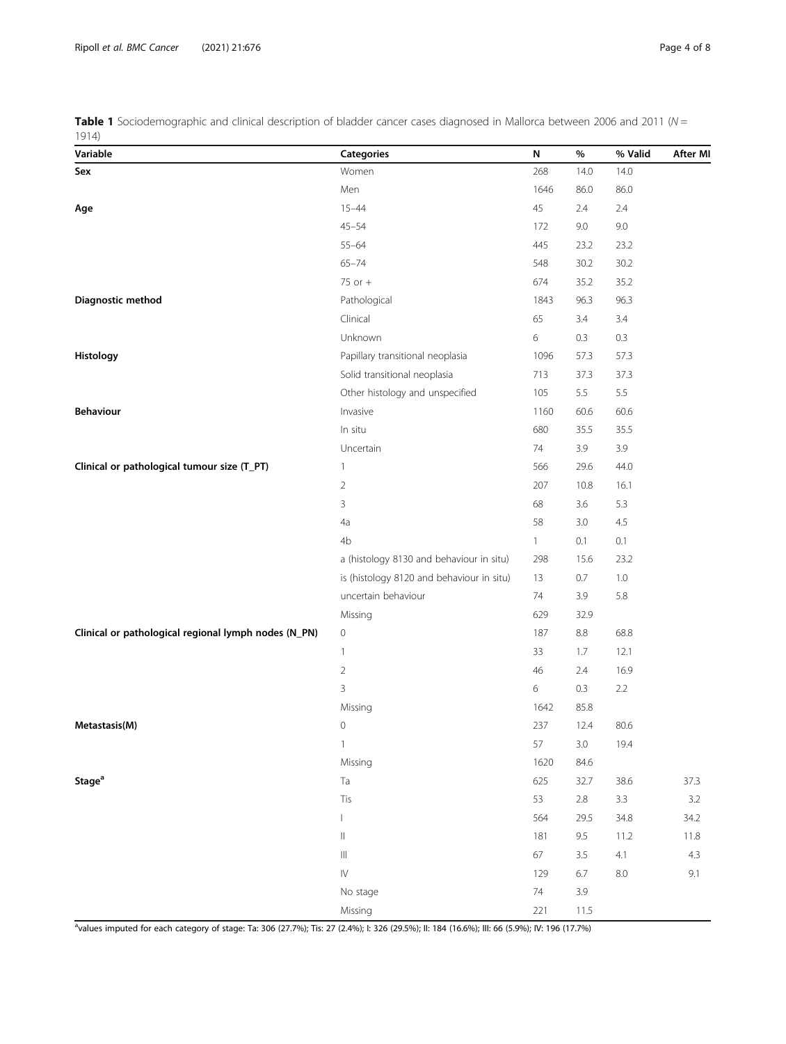<span id="page-3-0"></span>Table 1 Sociodemographic and clinical description of bladder cancer cases diagnosed in Mallorca between 2006 and 2011 ( $N =$ 1914)

| Variable                                             | <b>Categories</b>                         | N            | $\%$    | % Valid | <b>After MI</b> |
|------------------------------------------------------|-------------------------------------------|--------------|---------|---------|-----------------|
| Sex                                                  | Women                                     | 268          | 14.0    | 14.0    |                 |
|                                                      | Men                                       | 1646         | 86.0    | 86.0    |                 |
| Age                                                  | $15 - 44$                                 | 45           | 2.4     | 2.4     |                 |
|                                                      | $45 - 54$                                 | 172          | 9.0     | 9.0     |                 |
|                                                      | $55 - 64$                                 | 445          | 23.2    | 23.2    |                 |
|                                                      | $65 - 74$                                 | 548          | 30.2    | 30.2    |                 |
|                                                      | 75 or $+$                                 | 674          | 35.2    | 35.2    |                 |
| Diagnostic method                                    | Pathological                              | 1843         | 96.3    | 96.3    |                 |
|                                                      | Clinical                                  | 65           | 3.4     | 3.4     |                 |
|                                                      | Unknown                                   | $\epsilon$   | 0.3     | $0.3\,$ |                 |
| Histology                                            | Papillary transitional neoplasia          | 1096         | 57.3    | 57.3    |                 |
|                                                      | Solid transitional neoplasia              | 713          | 37.3    | 37.3    |                 |
|                                                      | Other histology and unspecified           | 105          | $5.5\,$ | 5.5     |                 |
| <b>Behaviour</b>                                     | Invasive                                  | 1160         | 60.6    | 60.6    |                 |
|                                                      | In situ                                   | 680          | 35.5    | 35.5    |                 |
|                                                      | Uncertain                                 | 74           | 3.9     | 3.9     |                 |
| Clinical or pathological tumour size (T_PT)          | $\mathbf{1}$                              | 566          | 29.6    | 44.0    |                 |
|                                                      | $\overline{2}$                            | 207          | 10.8    | 16.1    |                 |
|                                                      | 3                                         | 68           | 3.6     | 5.3     |                 |
|                                                      | 4a                                        | 58           | 3.0     | 4.5     |                 |
|                                                      | 4b                                        | $\mathbf{1}$ | 0.1     | 0.1     |                 |
|                                                      | a (histology 8130 and behaviour in situ)  | 298          | 15.6    | 23.2    |                 |
|                                                      | is (histology 8120 and behaviour in situ) | 13           | 0.7     | $1.0\,$ |                 |
|                                                      | uncertain behaviour                       | 74           | 3.9     | 5.8     |                 |
|                                                      | Missing                                   | 629          | 32.9    |         |                 |
| Clinical or pathological regional lymph nodes (N_PN) | 0                                         | 187          | $8.8\,$ | 68.8    |                 |
|                                                      | $\mathbf{1}$                              | 33           | 1.7     | 12.1    |                 |
|                                                      | $\overline{2}$                            | 46           | 2.4     | 16.9    |                 |
|                                                      | 3                                         | 6            | 0.3     | 2.2     |                 |
|                                                      | Missing                                   | 1642         | 85.8    |         |                 |
| Metastasis(M)                                        | 0                                         | 237          | 12.4    | 80.6    |                 |
|                                                      | $\mathbf{1}$                              | 57           | $3.0\,$ | 19.4    |                 |
|                                                      | Missing                                   | 1620         | 84.6    |         |                 |
| Stage <sup>a</sup>                                   | Ta                                        | 625          | 32.7    | 38.6    | 37.3            |
|                                                      | Tis                                       | 53           | $2.8\,$ | 3.3     | $3.2\,$         |
|                                                      | $\mathsf{L}$                              | 564          | 29.5    | 34.8    | 34.2            |
|                                                      | $\, \parallel$                            | 181          | 9.5     | 11.2    | $11.8\,$        |
|                                                      | $\ensuremath{\mathsf{III}}\xspace$        | 67           | $3.5\,$ | 4.1     | 4.3             |
|                                                      | $\dot{\mathbb{N}}$                        | 129          | $6.7\,$ | 8.0     | 9.1             |
|                                                      | No stage                                  | $74\,$       | 3.9     |         |                 |
|                                                      | Missing                                   | 221          | 11.5    |         |                 |

a values imputed for each category of stage: Ta: 306 (27.7%); Tis: 27 (2.4%); I: 326 (29.5%); II: 184 (16.6%); III: 66 (5.9%); IV: 196 (17.7%)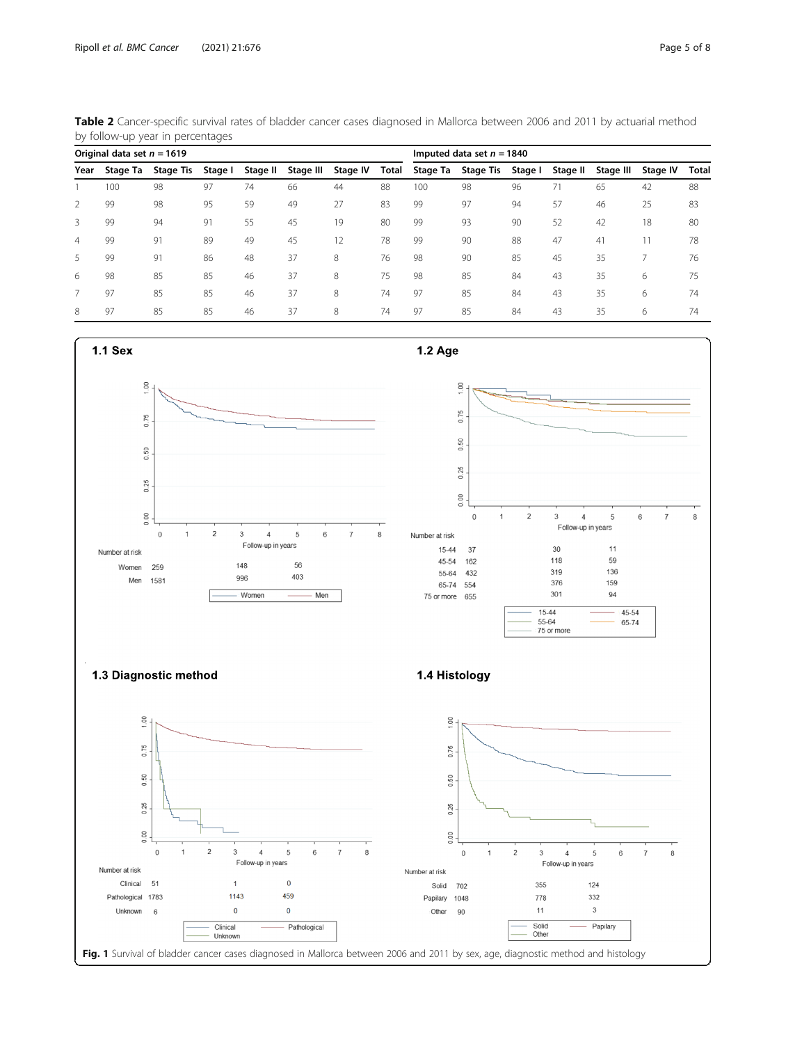|                              | by follow-up year in percentages |                  |         |          |           |                             |       |          |                  |         |          |           |          |       |
|------------------------------|----------------------------------|------------------|---------|----------|-----------|-----------------------------|-------|----------|------------------|---------|----------|-----------|----------|-------|
| Original data set $n = 1619$ |                                  |                  |         |          |           | Imputed data set $n = 1840$ |       |          |                  |         |          |           |          |       |
| Year                         | Stage Ta                         | <b>Stage Tis</b> | Stage I | Stage II | Stage III | Stage IV                    | Total | Stage Ta | <b>Stage Tis</b> | Stage I | Stage II | Stage III | Stage IV | Total |
|                              | 100                              | 98               | 97      | 74       | 66        | 44                          | 88    | 100      | 98               | 96      | 71       | 65        | 42       | 88    |
| $\mathcal{P}$                | 99                               | 98               | 95      | 59       | 49        | 27                          | 83    | 99       | 97               | 94      | 57       | 46        | 25       | 83    |
| 3                            | 99                               | 94               | 91      | 55       | 45        | 19                          | 80    | 99       | 93               | 90      | 52       | 42        | 18       | 80    |
| 4                            | 99                               | 91               | 89      | 49       | 45        | 12                          | 78    | 99       | 90               | 88      | 47       | 41        |          | 78    |
| 5                            | 99                               | 91               | 86      | 48       | 37        | 8                           | 76    | 98       | 90               | 85      | 45       | 35        |          | 76    |
| 6                            | 98                               | 85               | 85      | 46       | 37        | 8                           | 75    | 98       | 85               | 84      | 43       | 35        | 6        | 75    |

<span id="page-4-0"></span>Table 2 Cancer-specific survival rates of bladder cancer cases diagnosed in Mallorca between 2006 and 2011 by actuarial method

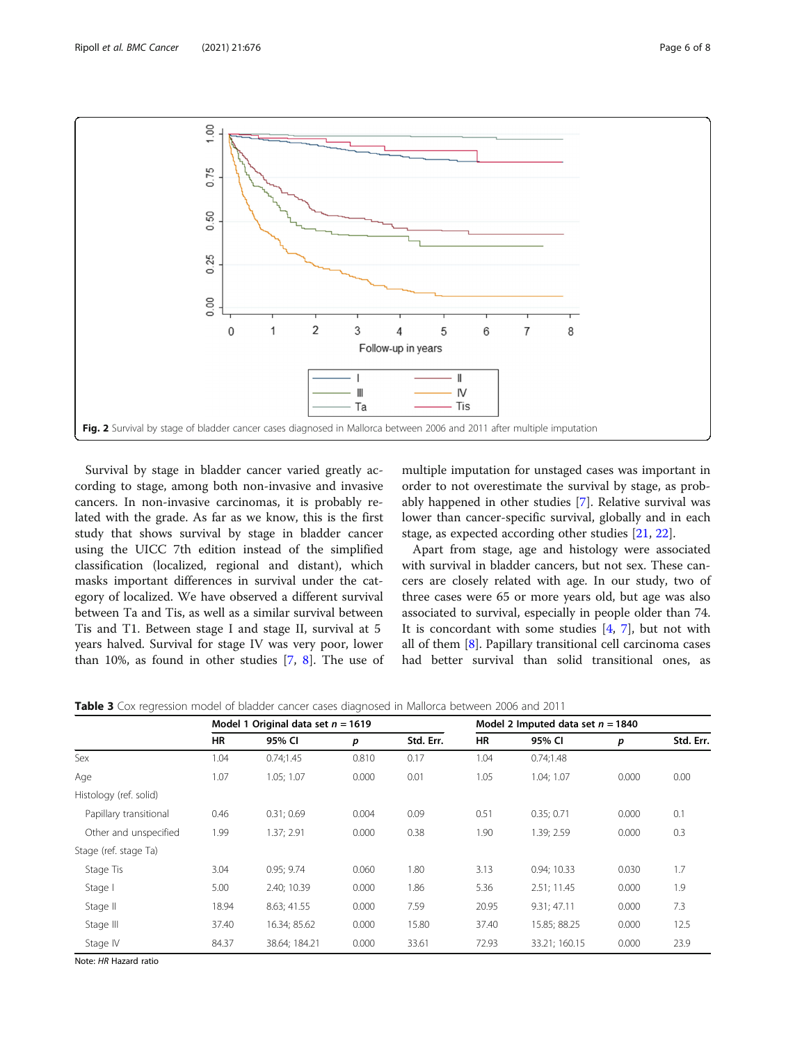<span id="page-5-0"></span>

Survival by stage in bladder cancer varied greatly according to stage, among both non-invasive and invasive cancers. In non-invasive carcinomas, it is probably related with the grade. As far as we know, this is the first study that shows survival by stage in bladder cancer using the UICC 7th edition instead of the simplified classification (localized, regional and distant), which masks important differences in survival under the category of localized. We have observed a different survival between Ta and Tis, as well as a similar survival between Tis and T1. Between stage I and stage II, survival at 5 years halved. Survival for stage IV was very poor, lower than 10%, as found in other studies  $[7, 8]$  $[7, 8]$  $[7, 8]$  $[7, 8]$  $[7, 8]$ . The use of multiple imputation for unstaged cases was important in order to not overestimate the survival by stage, as probably happened in other studies [\[7](#page-7-0)]. Relative survival was lower than cancer-specific survival, globally and in each stage, as expected according other studies [\[21,](#page-7-0) [22\]](#page-7-0).

Apart from stage, age and histology were associated with survival in bladder cancers, but not sex. These cancers are closely related with age. In our study, two of three cases were 65 or more years old, but age was also associated to survival, especially in people older than 74. It is concordant with some studies  $[4, 7]$  $[4, 7]$  $[4, 7]$ , but not with all of them [\[8](#page-7-0)]. Papillary transitional cell carcinoma cases had better survival than solid transitional ones, as

|                        | Model 1 Original data set $n = 1619$ |               |       |           | Model 2 Imputed data set $n = 1840$ |               |       |           |  |
|------------------------|--------------------------------------|---------------|-------|-----------|-------------------------------------|---------------|-------|-----------|--|
|                        | HR                                   | 95% CI        | р     | Std. Err. | HR                                  | 95% CI        | p     | Std. Err. |  |
| Sex                    | 1.04                                 | 0.74;1.45     | 0.810 | 0.17      | 1.04                                | 0.74;1.48     |       |           |  |
| Age                    | 1.07                                 | 1.05; 1.07    | 0.000 | 0.01      | 1.05                                | 1.04; 1.07    | 0.000 | 0.00      |  |
| Histology (ref. solid) |                                      |               |       |           |                                     |               |       |           |  |
| Papillary transitional | 0.46                                 | 0.31; 0.69    | 0.004 | 0.09      | 0.51                                | 0.35; 0.71    | 0.000 | 0.1       |  |
| Other and unspecified  | 1.99                                 | 1.37; 2.91    | 0.000 | 0.38      | 1.90                                | 1.39; 2.59    | 0.000 | 0.3       |  |
| Stage (ref. stage Ta)  |                                      |               |       |           |                                     |               |       |           |  |
| Stage Tis              | 3.04                                 | 0.95:9.74     | 0.060 | 1.80      | 3.13                                | 0.94; 10.33   | 0.030 | 1.7       |  |
| Stage I                | 5.00                                 | 2.40; 10.39   | 0.000 | 1.86      | 5.36                                | 2.51; 11.45   | 0.000 | 1.9       |  |
| Stage II               | 18.94                                | 8.63; 41.55   | 0.000 | 7.59      | 20.95                               | 9.31; 47.11   | 0.000 | 7.3       |  |
| Stage III              | 37.40                                | 16.34: 85.62  | 0.000 | 15.80     | 37.40                               | 15.85; 88.25  | 0.000 | 12.5      |  |
| Stage IV               | 84.37                                | 38.64; 184.21 | 0.000 | 33.61     | 72.93                               | 33.21; 160.15 | 0.000 | 23.9      |  |

Table 3 Cox regression model of bladder cancer cases diagnosed in Mallorca between 2006 and 2011

Note: HR Hazard ratio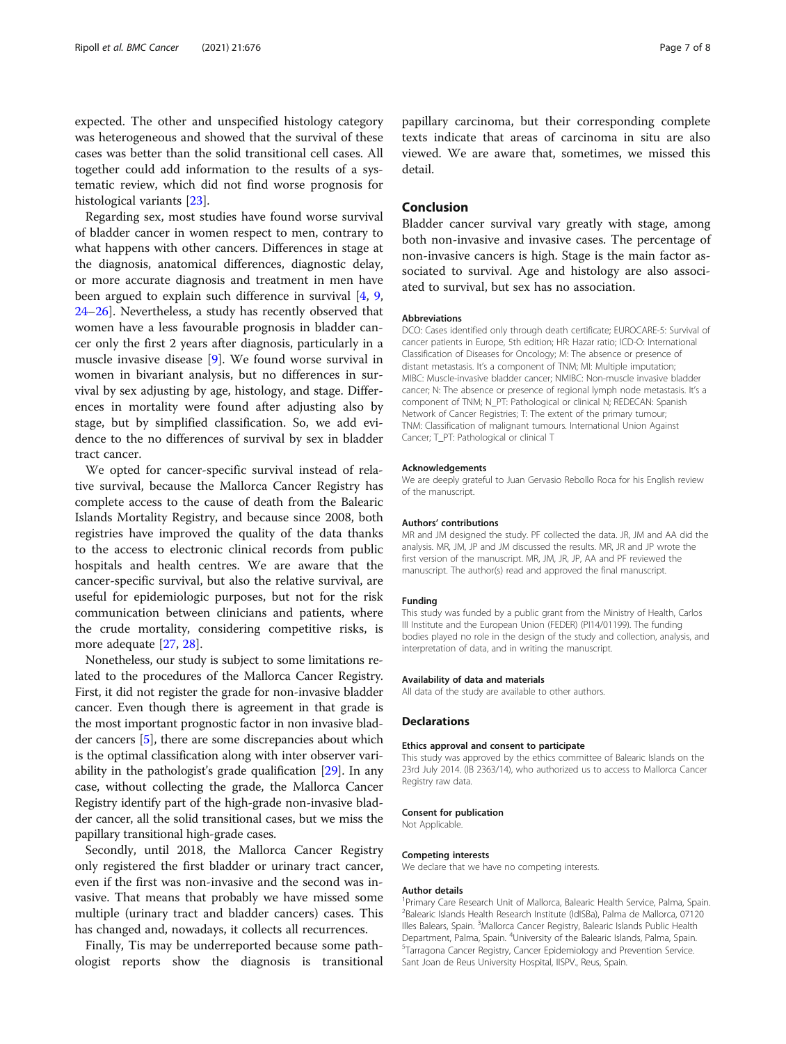expected. The other and unspecified histology category was heterogeneous and showed that the survival of these cases was better than the solid transitional cell cases. All together could add information to the results of a systematic review, which did not find worse prognosis for histological variants [[23\]](#page-7-0).

Regarding sex, most studies have found worse survival of bladder cancer in women respect to men, contrary to what happens with other cancers. Differences in stage at the diagnosis, anatomical differences, diagnostic delay, or more accurate diagnosis and treatment in men have been argued to explain such difference in survival [[4,](#page-7-0) [9](#page-7-0), [24](#page-7-0)–[26](#page-7-0)]. Nevertheless, a study has recently observed that women have a less favourable prognosis in bladder cancer only the first 2 years after diagnosis, particularly in a muscle invasive disease [\[9](#page-7-0)]. We found worse survival in women in bivariant analysis, but no differences in survival by sex adjusting by age, histology, and stage. Differences in mortality were found after adjusting also by stage, but by simplified classification. So, we add evidence to the no differences of survival by sex in bladder tract cancer.

We opted for cancer-specific survival instead of relative survival, because the Mallorca Cancer Registry has complete access to the cause of death from the Balearic Islands Mortality Registry, and because since 2008, both registries have improved the quality of the data thanks to the access to electronic clinical records from public hospitals and health centres. We are aware that the cancer-specific survival, but also the relative survival, are useful for epidemiologic purposes, but not for the risk communication between clinicians and patients, where the crude mortality, considering competitive risks, is more adequate [[27](#page-7-0), [28](#page-7-0)].

Nonetheless, our study is subject to some limitations related to the procedures of the Mallorca Cancer Registry. First, it did not register the grade for non-invasive bladder cancer. Even though there is agreement in that grade is the most important prognostic factor in non invasive bladder cancers [[5\]](#page-7-0), there are some discrepancies about which is the optimal classification along with inter observer variability in the pathologist's grade qualification [\[29\]](#page-7-0). In any case, without collecting the grade, the Mallorca Cancer Registry identify part of the high-grade non-invasive bladder cancer, all the solid transitional cases, but we miss the papillary transitional high-grade cases.

Secondly, until 2018, the Mallorca Cancer Registry only registered the first bladder or urinary tract cancer, even if the first was non-invasive and the second was invasive. That means that probably we have missed some multiple (urinary tract and bladder cancers) cases. This has changed and, nowadays, it collects all recurrences.

Finally, Tis may be underreported because some pathologist reports show the diagnosis is transitional

papillary carcinoma, but their corresponding complete texts indicate that areas of carcinoma in situ are also viewed. We are aware that, sometimes, we missed this detail.

### Conclusion

Bladder cancer survival vary greatly with stage, among both non-invasive and invasive cases. The percentage of non-invasive cancers is high. Stage is the main factor associated to survival. Age and histology are also associated to survival, but sex has no association.

#### **Abbreviations**

DCO: Cases identified only through death certificate; EUROCARE-5: Survival of cancer patients in Europe, 5th edition; HR: Hazar ratio; ICD-O: International Classification of Diseases for Oncology; M: The absence or presence of distant metastasis. It's a component of TNM; MI: Multiple imputation; MIBC: Muscle-invasive bladder cancer; NMIBC: Non-muscle invasive bladder cancer; N: The absence or presence of regional lymph node metastasis. It's a component of TNM; N\_PT: Pathological or clinical N; REDECAN: Spanish Network of Cancer Registries; T: The extent of the primary tumour; TNM: Classification of malignant tumours. International Union Against Cancer; T\_PT: Pathological or clinical T

#### Acknowledgements

We are deeply grateful to Juan Gervasio Rebollo Roca for his English review of the manuscript.

#### Authors' contributions

MR and JM designed the study. PF collected the data. JR, JM and AA did the analysis. MR, JM, JP and JM discussed the results. MR, JR and JP wrote the first version of the manuscript. MR, JM, JR, JP, AA and PF reviewed the manuscript. The author(s) read and approved the final manuscript.

#### Funding

This study was funded by a public grant from the Ministry of Health, Carlos III Institute and the European Union (FEDER) (PI14/01199). The funding bodies played no role in the design of the study and collection, analysis, and interpretation of data, and in writing the manuscript.

#### Availability of data and materials

All data of the study are available to other authors.

#### **Declarations**

#### Ethics approval and consent to participate

This study was approved by the ethics committee of Balearic Islands on the 23rd July 2014. (IB 2363/14), who authorized us to access to Mallorca Cancer Registry raw data.

#### Consent for publication

Not Applicable

#### Competing interests

We declare that we have no competing interests.

#### Author details

<sup>1</sup> Primary Care Research Unit of Mallorca, Balearic Health Service, Palma, Spain <sup>2</sup>Balearic Islands Health Research Institute (IdISBa), Palma de Mallorca, 07120 Illes Balears, Spain. <sup>3</sup>Mallorca Cancer Registry, Balearic Islands Public Health Department, Palma, Spain. <sup>4</sup>University of the Balearic Islands, Palma, Spain.<br><sup>5</sup>Tarragona Cancer Bogisty, Cancer Epidemiology and Provention Sonrico. Tarragona Cancer Registry, Cancer Epidemiology and Prevention Service. Sant Joan de Reus University Hospital, IISPV., Reus, Spain.